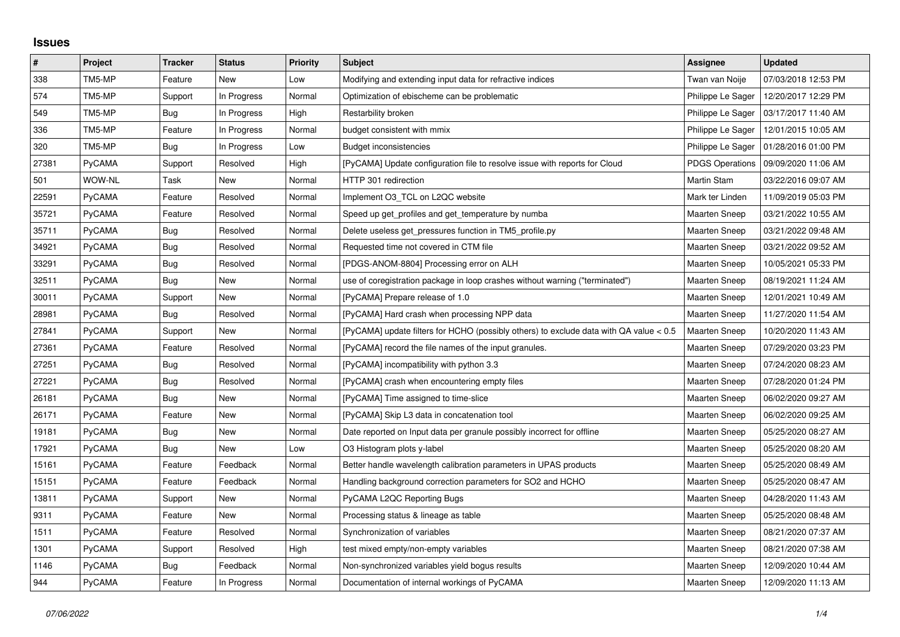## **Issues**

| $\vert$ # | Project       | <b>Tracker</b> | <b>Status</b> | <b>Priority</b> | Subject                                                                                | Assignee               | <b>Updated</b>      |
|-----------|---------------|----------------|---------------|-----------------|----------------------------------------------------------------------------------------|------------------------|---------------------|
| 338       | TM5-MP        | Feature        | New           | Low             | Modifying and extending input data for refractive indices                              | Twan van Noije         | 07/03/2018 12:53 PM |
| 574       | TM5-MP        | Support        | In Progress   | Normal          | Optimization of ebischeme can be problematic                                           | Philippe Le Sager      | 12/20/2017 12:29 PM |
| 549       | TM5-MP        | Bug            | In Progress   | High            | Restarbility broken                                                                    | Philippe Le Sager      | 03/17/2017 11:40 AM |
| 336       | TM5-MP        | Feature        | In Progress   | Normal          | budget consistent with mmix                                                            | Philippe Le Sager      | 12/01/2015 10:05 AM |
| 320       | TM5-MP        | Bug            | In Progress   | Low             | <b>Budget inconsistencies</b>                                                          | Philippe Le Sager      | 01/28/2016 01:00 PM |
| 27381     | PyCAMA        | Support        | Resolved      | High            | [PyCAMA] Update configuration file to resolve issue with reports for Cloud             | <b>PDGS Operations</b> | 09/09/2020 11:06 AM |
| 501       | WOW-NL        | Task           | <b>New</b>    | Normal          | HTTP 301 redirection                                                                   | <b>Martin Stam</b>     | 03/22/2016 09:07 AM |
| 22591     | PyCAMA        | Feature        | Resolved      | Normal          | Implement O3_TCL on L2QC website                                                       | Mark ter Linden        | 11/09/2019 05:03 PM |
| 35721     | PyCAMA        | Feature        | Resolved      | Normal          | Speed up get profiles and get temperature by numba                                     | <b>Maarten Sneep</b>   | 03/21/2022 10:55 AM |
| 35711     | PyCAMA        | <b>Bug</b>     | Resolved      | Normal          | Delete useless get pressures function in TM5 profile.py                                | <b>Maarten Sneep</b>   | 03/21/2022 09:48 AM |
| 34921     | PyCAMA        | Bug            | Resolved      | Normal          | Requested time not covered in CTM file                                                 | Maarten Sneep          | 03/21/2022 09:52 AM |
| 33291     | PyCAMA        | <b>Bug</b>     | Resolved      | Normal          | [PDGS-ANOM-8804] Processing error on ALH                                               | <b>Maarten Sneep</b>   | 10/05/2021 05:33 PM |
| 32511     | PyCAMA        | <b>Bug</b>     | <b>New</b>    | Normal          | use of coregistration package in loop crashes without warning ("terminated")           | <b>Maarten Sneep</b>   | 08/19/2021 11:24 AM |
| 30011     | PyCAMA        | Support        | New           | Normal          | [PyCAMA] Prepare release of 1.0                                                        | <b>Maarten Sneep</b>   | 12/01/2021 10:49 AM |
| 28981     | PyCAMA        | <b>Bug</b>     | Resolved      | Normal          | [PyCAMA] Hard crash when processing NPP data                                           | <b>Maarten Sneep</b>   | 11/27/2020 11:54 AM |
| 27841     | PyCAMA        | Support        | New           | Normal          | [PyCAMA] update filters for HCHO (possibly others) to exclude data with QA value < 0.5 | <b>Maarten Sneep</b>   | 10/20/2020 11:43 AM |
| 27361     | PyCAMA        | Feature        | Resolved      | Normal          | [PyCAMA] record the file names of the input granules.                                  | <b>Maarten Sneep</b>   | 07/29/2020 03:23 PM |
| 27251     | <b>PyCAMA</b> | Bug            | Resolved      | Normal          | [PyCAMA] incompatibility with python 3.3                                               | <b>Maarten Sneep</b>   | 07/24/2020 08:23 AM |
| 27221     | PyCAMA        | <b>Bug</b>     | Resolved      | Normal          | [PyCAMA] crash when encountering empty files                                           | <b>Maarten Sneep</b>   | 07/28/2020 01:24 PM |
| 26181     | PyCAMA        | Bug            | New           | Normal          | [PyCAMA] Time assigned to time-slice                                                   | <b>Maarten Sneep</b>   | 06/02/2020 09:27 AM |
| 26171     | PyCAMA        | Feature        | New           | Normal          | [PyCAMA] Skip L3 data in concatenation tool                                            | <b>Maarten Sneep</b>   | 06/02/2020 09:25 AM |
| 19181     | PyCAMA        | <b>Bug</b>     | New           | Normal          | Date reported on Input data per granule possibly incorrect for offline                 | <b>Maarten Sneep</b>   | 05/25/2020 08:27 AM |
| 17921     | <b>PyCAMA</b> | Bug            | New           | Low             | O3 Histogram plots y-label                                                             | <b>Maarten Sneep</b>   | 05/25/2020 08:20 AM |
| 15161     | PyCAMA        | Feature        | Feedback      | Normal          | Better handle wavelength calibration parameters in UPAS products                       | <b>Maarten Sneep</b>   | 05/25/2020 08:49 AM |
| 15151     | PyCAMA        | Feature        | Feedback      | Normal          | Handling background correction parameters for SO2 and HCHO                             | <b>Maarten Sneep</b>   | 05/25/2020 08:47 AM |
| 13811     | <b>PyCAMA</b> | Support        | New           | Normal          | PyCAMA L2QC Reporting Bugs                                                             | <b>Maarten Sneep</b>   | 04/28/2020 11:43 AM |
| 9311      | PyCAMA        | Feature        | <b>New</b>    | Normal          | Processing status & lineage as table                                                   | <b>Maarten Sneep</b>   | 05/25/2020 08:48 AM |
| 1511      | PyCAMA        | Feature        | Resolved      | Normal          | Synchronization of variables                                                           | Maarten Sneep          | 08/21/2020 07:37 AM |
| 1301      | PyCAMA        | Support        | Resolved      | High            | test mixed empty/non-empty variables                                                   | <b>Maarten Sneep</b>   | 08/21/2020 07:38 AM |
| 1146      | PyCAMA        | Bug            | Feedback      | Normal          | Non-synchronized variables yield bogus results                                         | <b>Maarten Sneep</b>   | 12/09/2020 10:44 AM |
| 944       | <b>PyCAMA</b> | Feature        | In Progress   | Normal          | Documentation of internal workings of PyCAMA                                           | <b>Maarten Sneep</b>   | 12/09/2020 11:13 AM |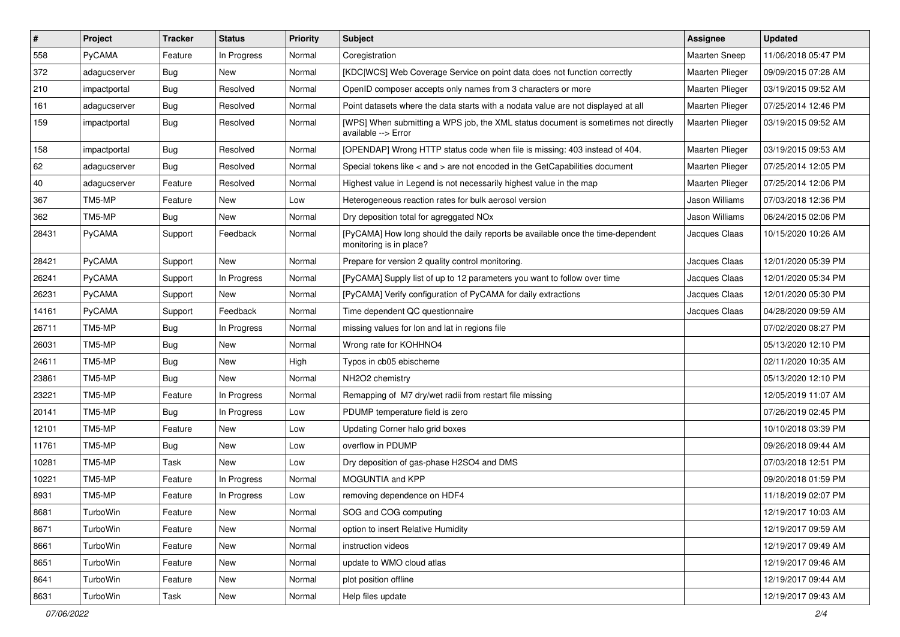| $\vert$ #    | Project      | <b>Tracker</b> | <b>Status</b> | <b>Priority</b> | <b>Subject</b>                                                                                             | Assignee        | <b>Updated</b>      |
|--------------|--------------|----------------|---------------|-----------------|------------------------------------------------------------------------------------------------------------|-----------------|---------------------|
| 558          | PyCAMA       | Feature        | In Progress   | Normal          | Coregistration                                                                                             | Maarten Sneep   | 11/06/2018 05:47 PM |
| 372          | adagucserver | Bug            | <b>New</b>    | Normal          | [KDC WCS] Web Coverage Service on point data does not function correctly                                   | Maarten Plieger | 09/09/2015 07:28 AM |
| 210          | impactportal | <b>Bug</b>     | Resolved      | Normal          | OpenID composer accepts only names from 3 characters or more                                               | Maarten Plieger | 03/19/2015 09:52 AM |
| 161          | adagucserver | Bug            | Resolved      | Normal          | Point datasets where the data starts with a nodata value are not displayed at all                          | Maarten Plieger | 07/25/2014 12:46 PM |
| 159          | impactportal | <b>Bug</b>     | Resolved      | Normal          | [WPS] When submitting a WPS job, the XML status document is sometimes not directly<br>available --> Error  | Maarten Plieger | 03/19/2015 09:52 AM |
| 158          | impactportal | Bug            | Resolved      | Normal          | [OPENDAP] Wrong HTTP status code when file is missing: 403 instead of 404.                                 | Maarten Plieger | 03/19/2015 09:53 AM |
| 62           | adagucserver | <b>Bug</b>     | Resolved      | Normal          | Special tokens like < and > are not encoded in the GetCapabilities document                                | Maarten Plieger | 07/25/2014 12:05 PM |
| $ 40\rangle$ | adagucserver | Feature        | Resolved      | Normal          | Highest value in Legend is not necessarily highest value in the map                                        | Maarten Plieger | 07/25/2014 12:06 PM |
| 367          | TM5-MP       | Feature        | <b>New</b>    | Low             | Heterogeneous reaction rates for bulk aerosol version                                                      | Jason Williams  | 07/03/2018 12:36 PM |
| 362          | TM5-MP       | <b>Bug</b>     | New           | Normal          | Dry deposition total for agreggated NOx                                                                    | Jason Williams  | 06/24/2015 02:06 PM |
| 28431        | PyCAMA       | Support        | Feedback      | Normal          | [PyCAMA] How long should the daily reports be available once the time-dependent<br>monitoring is in place? | Jacques Claas   | 10/15/2020 10:26 AM |
| 28421        | PyCAMA       | Support        | New           | Normal          | Prepare for version 2 quality control monitoring.                                                          | Jacques Claas   | 12/01/2020 05:39 PM |
| 26241        | PyCAMA       | Support        | In Progress   | Normal          | [PyCAMA] Supply list of up to 12 parameters you want to follow over time                                   | Jacques Claas   | 12/01/2020 05:34 PM |
| 26231        | PyCAMA       | Support        | New           | Normal          | [PyCAMA] Verify configuration of PyCAMA for daily extractions                                              | Jacques Claas   | 12/01/2020 05:30 PM |
| 14161        | PyCAMA       | Support        | Feedback      | Normal          | Time dependent QC questionnaire                                                                            | Jacques Claas   | 04/28/2020 09:59 AM |
| 26711        | TM5-MP       | Bug            | In Progress   | Normal          | missing values for lon and lat in regions file                                                             |                 | 07/02/2020 08:27 PM |
| 26031        | TM5-MP       | <b>Bug</b>     | New           | Normal          | Wrong rate for KOHHNO4                                                                                     |                 | 05/13/2020 12:10 PM |
| 24611        | TM5-MP       | Bug            | <b>New</b>    | High            | Typos in cb05 ebischeme                                                                                    |                 | 02/11/2020 10:35 AM |
| 23861        | TM5-MP       | <b>Bug</b>     | <b>New</b>    | Normal          | NH2O2 chemistry                                                                                            |                 | 05/13/2020 12:10 PM |
| 23221        | TM5-MP       | Feature        | In Progress   | Normal          | Remapping of M7 dry/wet radii from restart file missing                                                    |                 | 12/05/2019 11:07 AM |
| 20141        | TM5-MP       | Bug            | In Progress   | Low             | PDUMP temperature field is zero                                                                            |                 | 07/26/2019 02:45 PM |
| 12101        | TM5-MP       | Feature        | New           | Low             | Updating Corner halo grid boxes                                                                            |                 | 10/10/2018 03:39 PM |
| 11761        | TM5-MP       | <b>Bug</b>     | New           | Low             | overflow in PDUMP                                                                                          |                 | 09/26/2018 09:44 AM |
| 10281        | TM5-MP       | Task           | <b>New</b>    | Low             | Dry deposition of gas-phase H2SO4 and DMS                                                                  |                 | 07/03/2018 12:51 PM |
| 10221        | TM5-MP       | Feature        | In Progress   | Normal          | MOGUNTIA and KPP                                                                                           |                 | 09/20/2018 01:59 PM |
| 8931         | TM5-MP       | Feature        | In Progress   | Low             | removing dependence on HDF4                                                                                |                 | 11/18/2019 02:07 PM |
| 8681         | TurboWin     | Feature        | New           | Normal          | SOG and COG computing                                                                                      |                 | 12/19/2017 10:03 AM |
| 8671         | TurboWin     | Feature        | New           | Normal          | option to insert Relative Humidity                                                                         |                 | 12/19/2017 09:59 AM |
| 8661         | TurboWin     | Feature        | <b>New</b>    | Normal          | instruction videos                                                                                         |                 | 12/19/2017 09:49 AM |
| 8651         | TurboWin     | Feature        | New           | Normal          | update to WMO cloud atlas                                                                                  |                 | 12/19/2017 09:46 AM |
| 8641         | TurboWin     | Feature        | New           | Normal          | plot position offline                                                                                      |                 | 12/19/2017 09:44 AM |
| 8631         | TurboWin     | Task           | New           | Normal          | Help files update                                                                                          |                 | 12/19/2017 09:43 AM |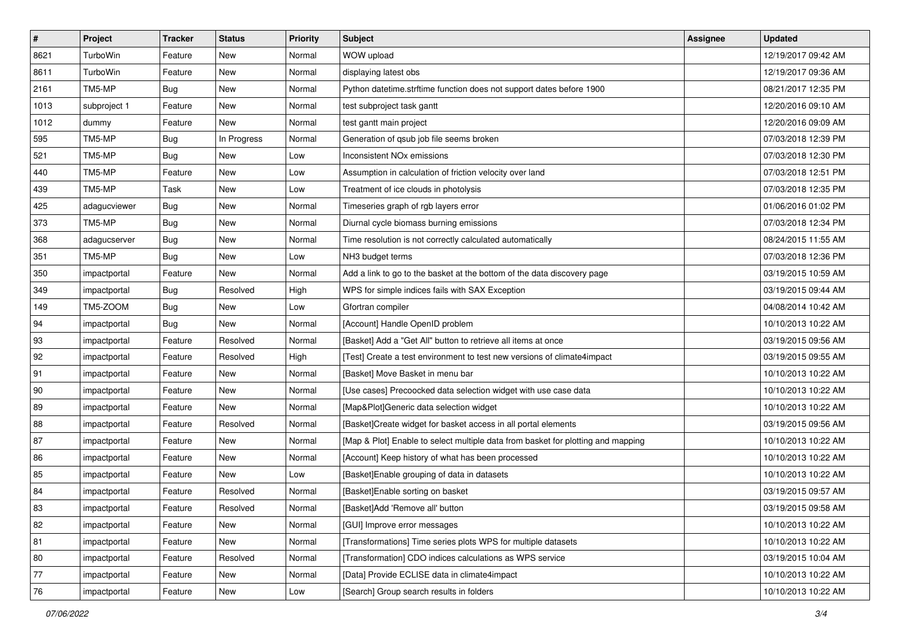| $\vert$ #    | Project      | Tracker    | <b>Status</b> | <b>Priority</b> | <b>Subject</b>                                                                   | Assignee | <b>Updated</b>      |
|--------------|--------------|------------|---------------|-----------------|----------------------------------------------------------------------------------|----------|---------------------|
| 8621         | TurboWin     | Feature    | New           | Normal          | WOW upload                                                                       |          | 12/19/2017 09:42 AM |
| 8611         | TurboWin     | Feature    | New           | Normal          | displaying latest obs                                                            |          | 12/19/2017 09:36 AM |
| 2161         | TM5-MP       | <b>Bug</b> | New           | Normal          | Python datetime.strftime function does not support dates before 1900             |          | 08/21/2017 12:35 PM |
| 1013         | subproject 1 | Feature    | New           | Normal          | test subproject task gantt                                                       |          | 12/20/2016 09:10 AM |
| 1012         | dummy        | Feature    | <b>New</b>    | Normal          | test gantt main project                                                          |          | 12/20/2016 09:09 AM |
| 595          | TM5-MP       | <b>Bug</b> | In Progress   | Normal          | Generation of qsub job file seems broken                                         |          | 07/03/2018 12:39 PM |
| 521          | TM5-MP       | <b>Bug</b> | New           | Low             | Inconsistent NO <sub>x</sub> emissions                                           |          | 07/03/2018 12:30 PM |
| 440          | TM5-MP       | Feature    | New           | Low             | Assumption in calculation of friction velocity over land                         |          | 07/03/2018 12:51 PM |
| 439          | TM5-MP       | Task       | New           | Low             | Treatment of ice clouds in photolysis                                            |          | 07/03/2018 12:35 PM |
| 425          | adagucviewer | <b>Bug</b> | <b>New</b>    | Normal          | Timeseries graph of rgb layers error                                             |          | 01/06/2016 01:02 PM |
| 373          | TM5-MP       | <b>Bug</b> | New           | Normal          | Diurnal cycle biomass burning emissions                                          |          | 07/03/2018 12:34 PM |
| 368          | adagucserver | <b>Bug</b> | New           | Normal          | Time resolution is not correctly calculated automatically                        |          | 08/24/2015 11:55 AM |
| 351          | TM5-MP       | Bug        | New           | Low             | NH3 budget terms                                                                 |          | 07/03/2018 12:36 PM |
| 350          | impactportal | Feature    | New           | Normal          | Add a link to go to the basket at the bottom of the data discovery page          |          | 03/19/2015 10:59 AM |
| 349          | impactportal | Bug        | Resolved      | High            | WPS for simple indices fails with SAX Exception                                  |          | 03/19/2015 09:44 AM |
| 149          | TM5-ZOOM     | <b>Bug</b> | New           | Low             | Gfortran compiler                                                                |          | 04/08/2014 10:42 AM |
| 94           | impactportal | <b>Bug</b> | New           | Normal          | [Account] Handle OpenID problem                                                  |          | 10/10/2013 10:22 AM |
| 93           | impactportal | Feature    | Resolved      | Normal          | [Basket] Add a "Get All" button to retrieve all items at once                    |          | 03/19/2015 09:56 AM |
| 92           | impactportal | Feature    | Resolved      | High            | [Test] Create a test environment to test new versions of climate4impact          |          | 03/19/2015 09:55 AM |
| 91           | impactportal | Feature    | New           | Normal          | [Basket] Move Basket in menu bar                                                 |          | 10/10/2013 10:22 AM |
| $ 90\rangle$ | impactportal | Feature    | New           | Normal          | [Use cases] Precoocked data selection widget with use case data                  |          | 10/10/2013 10:22 AM |
| 89           | impactportal | Feature    | New           | Normal          | [Map&Plot]Generic data selection widget                                          |          | 10/10/2013 10:22 AM |
| 88           | impactportal | Feature    | Resolved      | Normal          | [Basket]Create widget for basket access in all portal elements                   |          | 03/19/2015 09:56 AM |
| 87           | impactportal | Feature    | New           | Normal          | [Map & Plot] Enable to select multiple data from basket for plotting and mapping |          | 10/10/2013 10:22 AM |
| 86           | impactportal | Feature    | New           | Normal          | [Account] Keep history of what has been processed                                |          | 10/10/2013 10:22 AM |
| 85           | impactportal | Feature    | New           | Low             | [Basket] Enable grouping of data in datasets                                     |          | 10/10/2013 10:22 AM |
| 84           | impactportal | Feature    | Resolved      | Normal          | [Basket]Enable sorting on basket                                                 |          | 03/19/2015 09:57 AM |
| 83           | impactportal | Feature    | Resolved      | Normal          | [Basket]Add 'Remove all' button                                                  |          | 03/19/2015 09:58 AM |
| 82           | impactportal | Feature    | New           | Normal          | [GUI] Improve error messages                                                     |          | 10/10/2013 10:22 AM |
| 81           | impactportal | Feature    | New           | Normal          | [Transformations] Time series plots WPS for multiple datasets                    |          | 10/10/2013 10:22 AM |
| 80           | impactportal | Feature    | Resolved      | Normal          | [Transformation] CDO indices calculations as WPS service                         |          | 03/19/2015 10:04 AM |
| 77           | impactportal | Feature    | New           | Normal          | [Data] Provide ECLISE data in climate4impact                                     |          | 10/10/2013 10:22 AM |
| 76           | impactportal | Feature    | New           | Low             | [Search] Group search results in folders                                         |          | 10/10/2013 10:22 AM |